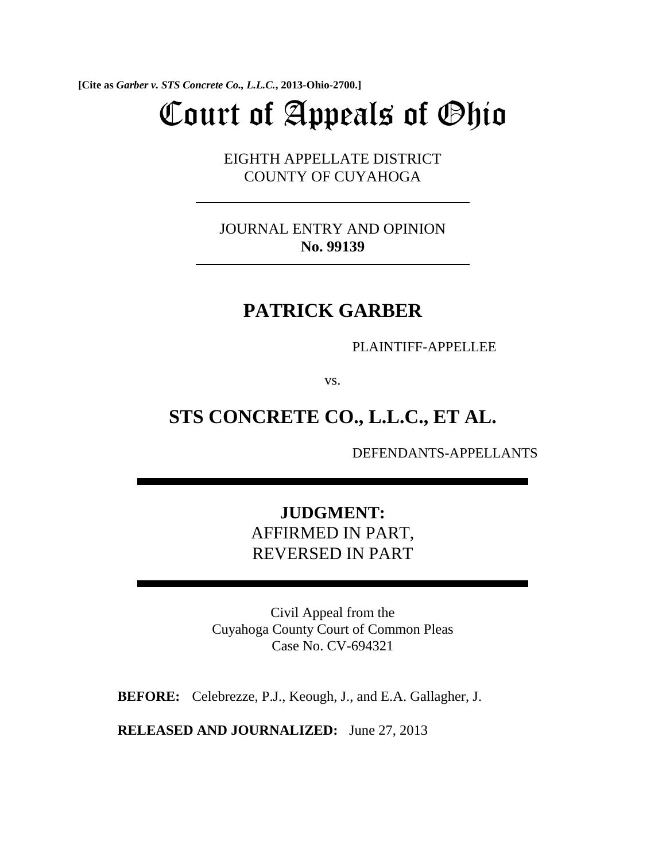**[Cite as** *Garber v. STS Concrete Co., L.L.C.***, 2013-Ohio-2700.]**

# Court of Appeals of Ohio

EIGHTH APPELLATE DISTRICT COUNTY OF CUYAHOGA

JOURNAL ENTRY AND OPINION **No. 99139**

# **PATRICK GARBER**

PLAINTIFF-APPELLEE

vs.

# **STS CONCRETE CO., L.L.C., ET AL.**

DEFENDANTS-APPELLANTS

# **JUDGMENT:**  AFFIRMED IN PART, REVERSED IN PART

Civil Appeal from the Cuyahoga County Court of Common Pleas Case No. CV-694321

**BEFORE:** Celebrezze, P.J., Keough, J., and E.A. Gallagher, J.

**RELEASED AND JOURNALIZED:** June 27, 2013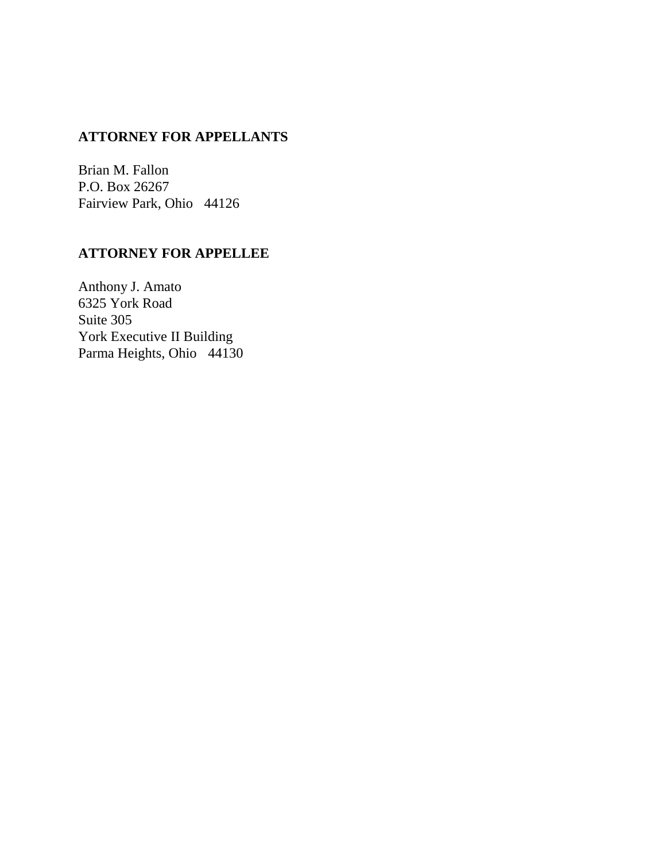## **ATTORNEY FOR APPELLANTS**

Brian M. Fallon P.O. Box 26267 Fairview Park, Ohio 44126

# **ATTORNEY FOR APPELLEE**

Anthony J. Amato 6325 York Road Suite 305 York Executive II Building Parma Heights, Ohio 44130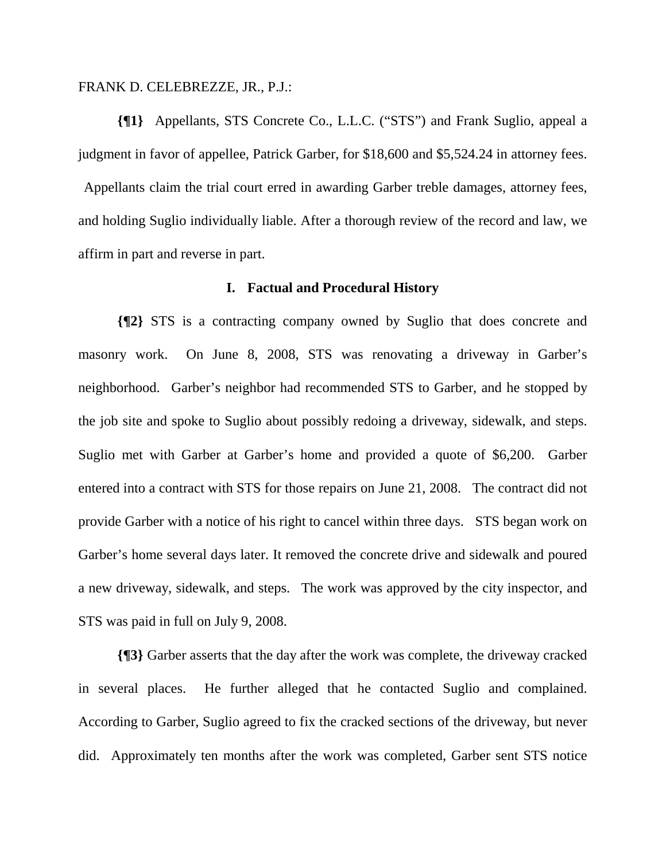#### FRANK D. CELEBREZZE, JR., P.J.:

**{¶1}** Appellants, STS Concrete Co., L.L.C. ("STS") and Frank Suglio, appeal a judgment in favor of appellee, Patrick Garber, for \$18,600 and \$5,524.24 in attorney fees.

 Appellants claim the trial court erred in awarding Garber treble damages, attorney fees, and holding Suglio individually liable. After a thorough review of the record and law, we affirm in part and reverse in part.

#### **I. Factual and Procedural History**

**{¶2}** STS is a contracting company owned by Suglio that does concrete and masonry work. On June 8, 2008, STS was renovating a driveway in Garber's neighborhood. Garber's neighbor had recommended STS to Garber, and he stopped by the job site and spoke to Suglio about possibly redoing a driveway, sidewalk, and steps. Suglio met with Garber at Garber's home and provided a quote of \$6,200. Garber entered into a contract with STS for those repairs on June 21, 2008. The contract did not provide Garber with a notice of his right to cancel within three days. STS began work on Garber's home several days later. It removed the concrete drive and sidewalk and poured a new driveway, sidewalk, and steps. The work was approved by the city inspector, and STS was paid in full on July 9, 2008.

**{¶3}** Garber asserts that the day after the work was complete, the driveway cracked in several places. He further alleged that he contacted Suglio and complained. According to Garber, Suglio agreed to fix the cracked sections of the driveway, but never did. Approximately ten months after the work was completed, Garber sent STS notice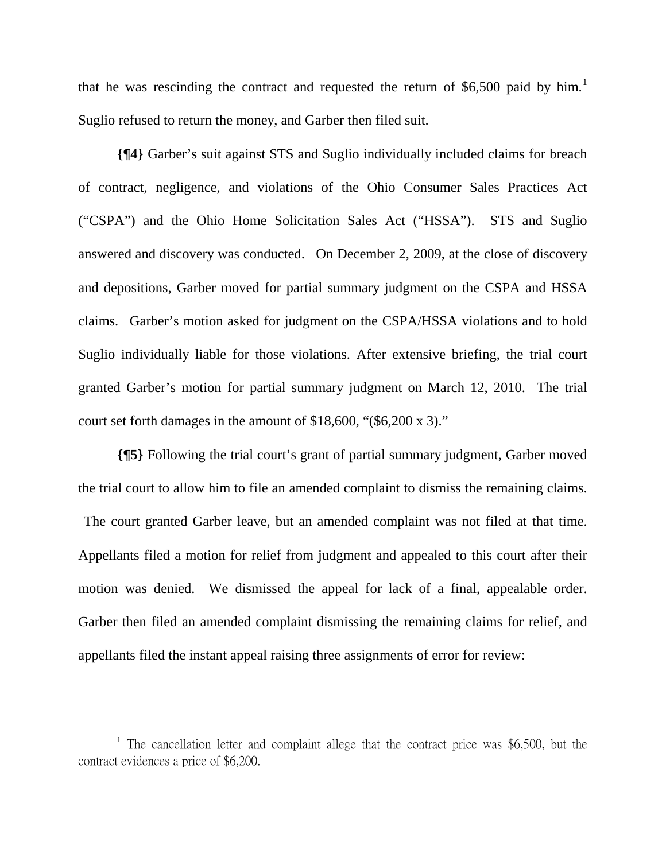that he was rescinding the contract and requested the return of \$6,500 paid by him.<sup>1</sup> Suglio refused to return the money, and Garber then filed suit.

**{¶4}** Garber's suit against STS and Suglio individually included claims for breach of contract, negligence, and violations of the Ohio Consumer Sales Practices Act ("CSPA") and the Ohio Home Solicitation Sales Act ("HSSA"). STS and Suglio answered and discovery was conducted. On December 2, 2009, at the close of discovery and depositions, Garber moved for partial summary judgment on the CSPA and HSSA claims. Garber's motion asked for judgment on the CSPA/HSSA violations and to hold Suglio individually liable for those violations. After extensive briefing, the trial court granted Garber's motion for partial summary judgment on March 12, 2010. The trial court set forth damages in the amount of \$18,600, "(\$6,200 x 3)."

**{¶5}** Following the trial court's grant of partial summary judgment, Garber moved the trial court to allow him to file an amended complaint to dismiss the remaining claims. The court granted Garber leave, but an amended complaint was not filed at that time. Appellants filed a motion for relief from judgment and appealed to this court after their motion was denied. We dismissed the appeal for lack of a final, appealable order. Garber then filed an amended complaint dismissing the remaining claims for relief, and appellants filed the instant appeal raising three assignments of error for review:

1

<sup>&</sup>lt;sup>1</sup> The cancellation letter and complaint allege that the contract price was \$6,500, but the contract evidences a price of \$6,200.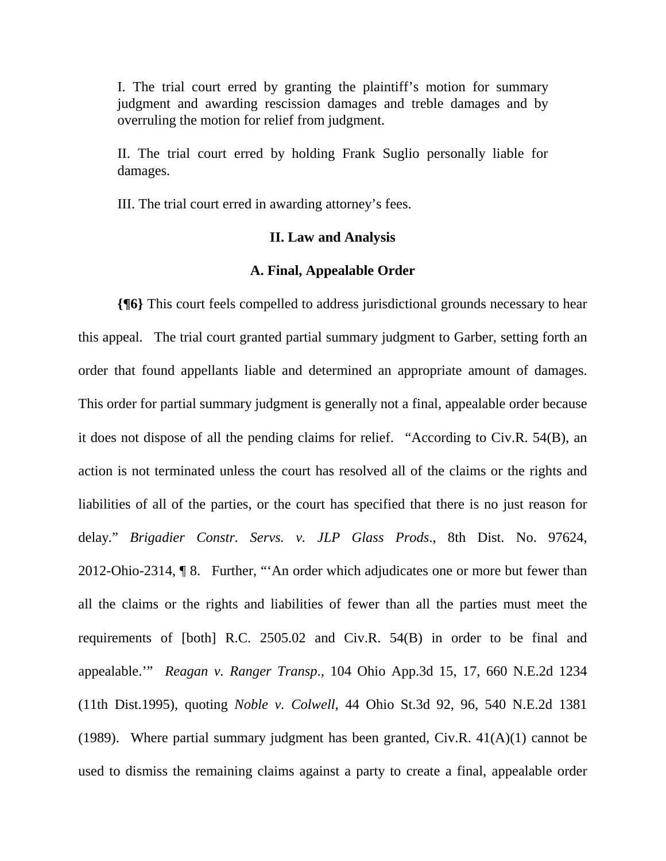I. The trial court erred by granting the plaintiff's motion for summary judgment and awarding rescission damages and treble damages and by overruling the motion for relief from judgment.

II. The trial court erred by holding Frank Suglio personally liable for damages.

III. The trial court erred in awarding attorney's fees.

#### **II. Law and Analysis**

#### **A. Final, Appealable Order**

**{¶6}** This court feels compelled to address jurisdictional grounds necessary to hear this appeal. The trial court granted partial summary judgment to Garber, setting forth an order that found appellants liable and determined an appropriate amount of damages. This order for partial summary judgment is generally not a final, appealable order because it does not dispose of all the pending claims for relief. "According to Civ.R. 54(B), an action is not terminated unless the court has resolved all of the claims or the rights and liabilities of all of the parties, or the court has specified that there is no just reason for delay." *Brigadier Constr. Servs. v. JLP Glass Prods*., 8th Dist. No. 97624, 2012-Ohio-2314, ¶ 8. Further, "'An order which adjudicates one or more but fewer than all the claims or the rights and liabilities of fewer than all the parties must meet the requirements of [both] R.C. 2505.02 and Civ.R. 54(B) in order to be final and appealable.'" *Reagan v. Ranger Transp*., 104 Ohio App.3d 15, 17, 660 N.E.2d 1234 (11th Dist.1995), quoting *Noble v. Colwell*, 44 Ohio St.3d 92, 96, 540 N.E.2d 1381 (1989). Where partial summary judgment has been granted, Civ.R.  $41(A)(1)$  cannot be used to dismiss the remaining claims against a party to create a final, appealable order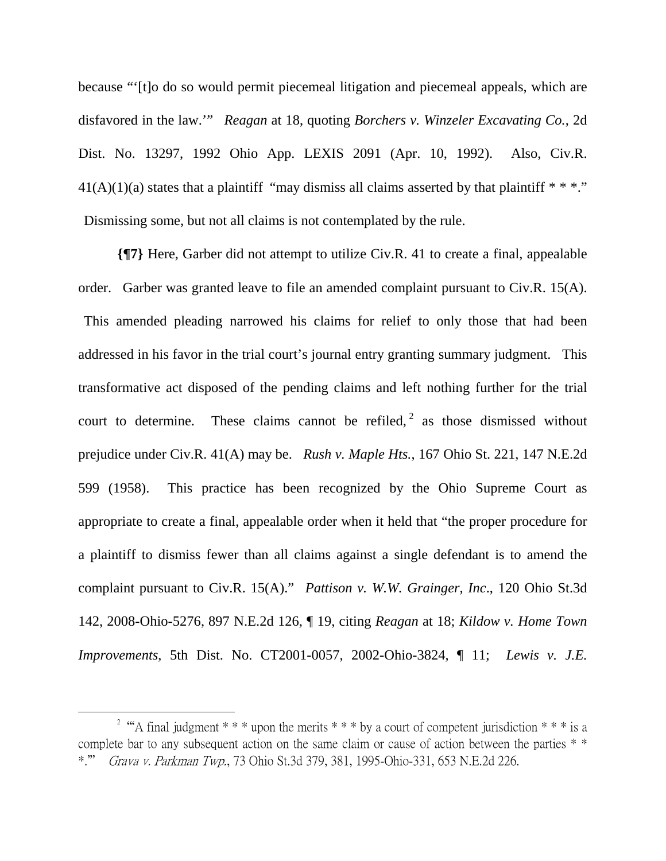because "'[t]o do so would permit piecemeal litigation and piecemeal appeals, which are disfavored in the law.'" *Reagan* at 18, quoting *Borchers v. Winzeler Excavating Co.*, 2d Dist. No. 13297, 1992 Ohio App. LEXIS 2091 (Apr. 10, 1992). Also, Civ.R.  $41(A)(1)(a)$  states that a plaintiff "may dismiss all claims asserted by that plaintiff  $***$ ." Dismissing some, but not all claims is not contemplated by the rule.

**{¶7}** Here, Garber did not attempt to utilize Civ.R. 41 to create a final, appealable order. Garber was granted leave to file an amended complaint pursuant to Civ.R. 15(A). This amended pleading narrowed his claims for relief to only those that had been addressed in his favor in the trial court's journal entry granting summary judgment. This transformative act disposed of the pending claims and left nothing further for the trial court to determine. These claims cannot be refiled,  $2$  as those dismissed without prejudice under Civ.R. 41(A) may be. *Rush v. Maple Hts.*, 167 Ohio St. 221, 147 N.E.2d 599 (1958). This practice has been recognized by the Ohio Supreme Court as appropriate to create a final, appealable order when it held that "the proper procedure for a plaintiff to dismiss fewer than all claims against a single defendant is to amend the complaint pursuant to Civ.R. 15(A)." *Pattison v. W.W. Grainger, Inc*., 120 Ohio St.3d 142, 2008-Ohio-5276, 897 N.E.2d 126, ¶ 19, citing *Reagan* at 18; *Kildow v. Home Town Improvements*, 5th Dist. No. CT2001-0057, 2002-Ohio-3824, ¶ 11; *Lewis v. J.E.* 

 $\overline{a}$ 

<sup>&</sup>lt;sup>2</sup> "A final judgment \* \* \* upon the merits \* \* \* by a court of competent jurisdiction \* \* \* is a complete bar to any subsequent action on the same claim or cause of action between the parties  $*$ \*." Grava v. Parkman Twp., 73 Ohio St.3d 379, 381, 1995-Ohio-331, 653 N.E.2d 226.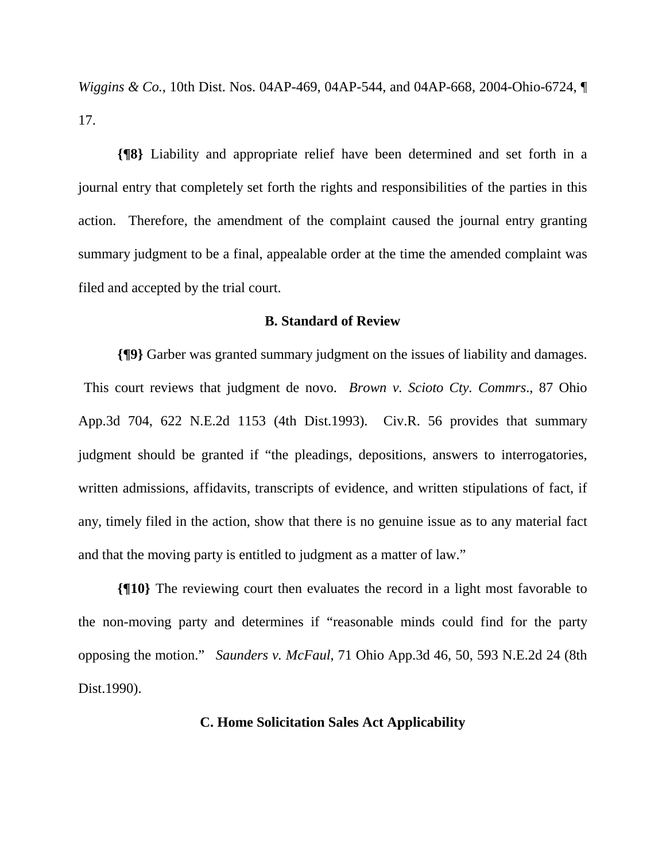*Wiggins & Co.*, 10th Dist. Nos. 04AP-469, 04AP-544, and 04AP-668, 2004-Ohio-6724, ¶ 17.

**{¶8}** Liability and appropriate relief have been determined and set forth in a journal entry that completely set forth the rights and responsibilities of the parties in this action. Therefore, the amendment of the complaint caused the journal entry granting summary judgment to be a final, appealable order at the time the amended complaint was filed and accepted by the trial court.

#### **B. Standard of Review**

**{¶9}** Garber was granted summary judgment on the issues of liability and damages. This court reviews that judgment de novo. *Brown v. Scioto Cty. Commrs*., 87 Ohio App.3d 704, 622 N.E.2d 1153 (4th Dist.1993). Civ.R. 56 provides that summary judgment should be granted if "the pleadings, depositions, answers to interrogatories, written admissions, affidavits, transcripts of evidence, and written stipulations of fact, if any, timely filed in the action, show that there is no genuine issue as to any material fact and that the moving party is entitled to judgment as a matter of law."

**{¶10}** The reviewing court then evaluates the record in a light most favorable to the non-moving party and determines if "reasonable minds could find for the party opposing the motion." *Saunders v. McFaul*, 71 Ohio App.3d 46, 50, 593 N.E.2d 24 (8th Dist.1990).

#### **C. Home Solicitation Sales Act Applicability**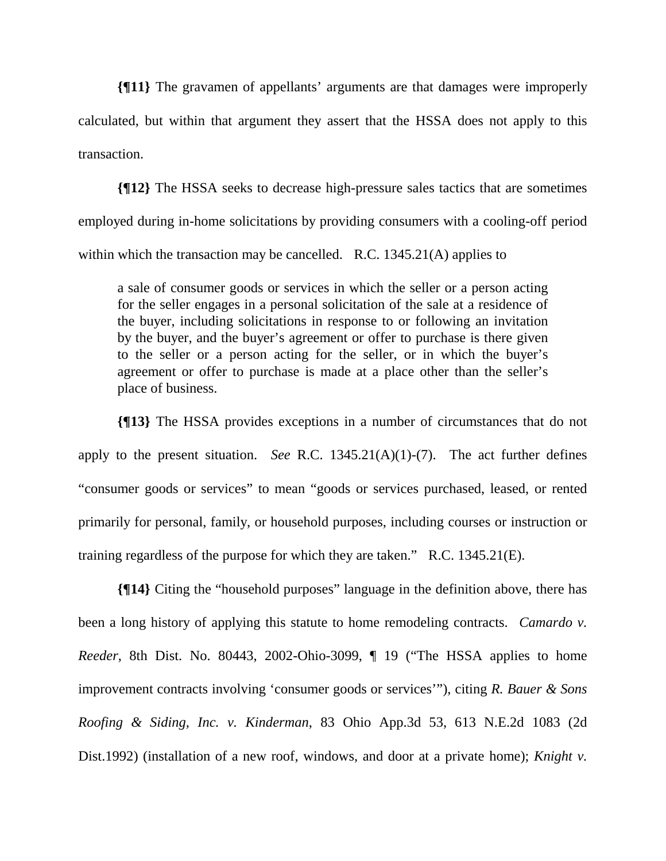**{¶11}** The gravamen of appellants' arguments are that damages were improperly calculated, but within that argument they assert that the HSSA does not apply to this transaction.

**{¶12}** The HSSA seeks to decrease high-pressure sales tactics that are sometimes employed during in-home solicitations by providing consumers with a cooling-off period within which the transaction may be cancelled. R.C. 1345.21(A) applies to

a sale of consumer goods or services in which the seller or a person acting for the seller engages in a personal solicitation of the sale at a residence of the buyer, including solicitations in response to or following an invitation by the buyer, and the buyer's agreement or offer to purchase is there given to the seller or a person acting for the seller, or in which the buyer's agreement or offer to purchase is made at a place other than the seller's place of business.

**{¶13}** The HSSA provides exceptions in a number of circumstances that do not apply to the present situation. *See* R.C. 1345.21(A)(1)-(7). The act further defines "consumer goods or services" to mean "goods or services purchased, leased, or rented primarily for personal, family, or household purposes, including courses or instruction or training regardless of the purpose for which they are taken." R.C. 1345.21(E).

**{¶14}** Citing the "household purposes" language in the definition above, there has been a long history of applying this statute to home remodeling contracts. *Camardo v. Reeder*, 8th Dist. No. 80443, 2002-Ohio-3099, ¶ 19 ("The HSSA applies to home improvement contracts involving 'consumer goods or services'"), citing *R. Bauer & Sons Roofing & Siding, Inc. v. Kinderman*, 83 Ohio App.3d 53, 613 N.E.2d 1083 (2d Dist.1992) (installation of a new roof, windows, and door at a private home); *Knight v.*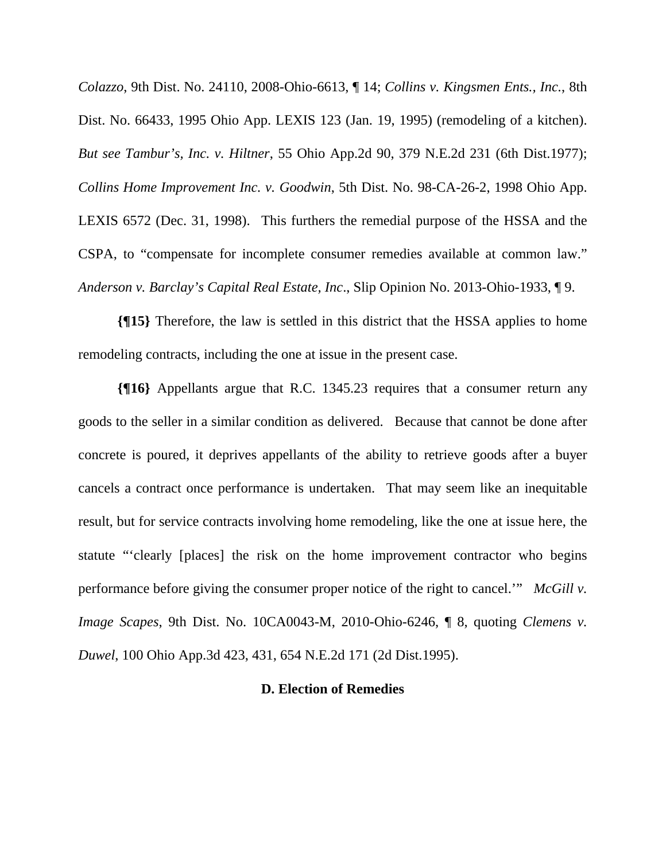*Colazzo*, 9th Dist. No. 24110, 2008-Ohio-6613, ¶ 14; *Collins v. Kingsmen Ents., Inc.*, 8th Dist. No. 66433, 1995 Ohio App. LEXIS 123 (Jan. 19, 1995) (remodeling of a kitchen). *But see Tambur's, Inc. v. Hiltner*, 55 Ohio App.2d 90, 379 N.E.2d 231 (6th Dist.1977); *Collins Home Improvement Inc. v. Goodwin*, 5th Dist. No. 98-CA-26-2, 1998 Ohio App. LEXIS 6572 (Dec. 31, 1998). This furthers the remedial purpose of the HSSA and the CSPA, to "compensate for incomplete consumer remedies available at common law." *Anderson v. Barclay's Capital Real Estate, Inc*., Slip Opinion No. 2013-Ohio-1933, ¶ 9.

**{¶15}** Therefore, the law is settled in this district that the HSSA applies to home remodeling contracts, including the one at issue in the present case.

**{¶16}** Appellants argue that R.C. 1345.23 requires that a consumer return any goods to the seller in a similar condition as delivered. Because that cannot be done after concrete is poured, it deprives appellants of the ability to retrieve goods after a buyer cancels a contract once performance is undertaken. That may seem like an inequitable result, but for service contracts involving home remodeling, like the one at issue here, the statute "'clearly [places] the risk on the home improvement contractor who begins performance before giving the consumer proper notice of the right to cancel.'" *McGill v. Image Scapes*, 9th Dist. No. 10CA0043-M, 2010-Ohio-6246, ¶ 8, quoting *Clemens v. Duwel*, 100 Ohio App.3d 423, 431, 654 N.E.2d 171 (2d Dist.1995).

## **D. Election of Remedies**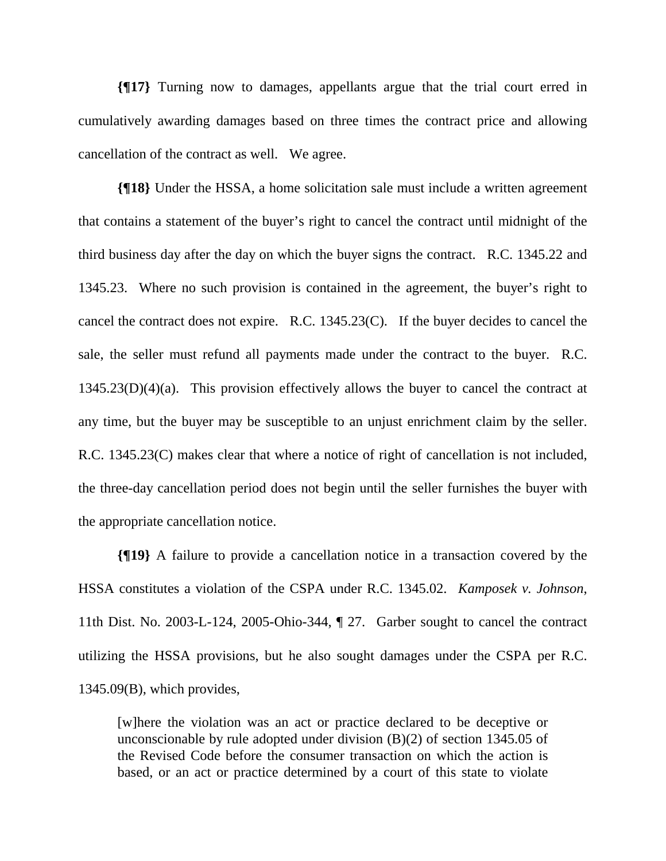**{¶17}** Turning now to damages, appellants argue that the trial court erred in cumulatively awarding damages based on three times the contract price and allowing cancellation of the contract as well. We agree.

**{¶18}** Under the HSSA, a home solicitation sale must include a written agreement that contains a statement of the buyer's right to cancel the contract until midnight of the third business day after the day on which the buyer signs the contract. R.C. 1345.22 and 1345.23. Where no such provision is contained in the agreement, the buyer's right to cancel the contract does not expire. R.C. 1345.23(C). If the buyer decides to cancel the sale, the seller must refund all payments made under the contract to the buyer. R.C. 1345.23(D)(4)(a). This provision effectively allows the buyer to cancel the contract at any time, but the buyer may be susceptible to an unjust enrichment claim by the seller. R.C. 1345.23(C) makes clear that where a notice of right of cancellation is not included, the three-day cancellation period does not begin until the seller furnishes the buyer with the appropriate cancellation notice.

**{¶19}** A failure to provide a cancellation notice in a transaction covered by the HSSA constitutes a violation of the CSPA under R.C. 1345.02. *Kamposek v. Johnson*, 11th Dist. No. 2003-L-124, 2005-Ohio-344, ¶ 27. Garber sought to cancel the contract utilizing the HSSA provisions, but he also sought damages under the CSPA per R.C. 1345.09(B), which provides,

[w]here the violation was an act or practice declared to be deceptive or unconscionable by rule adopted under division (B)(2) of section 1345.05 of the Revised Code before the consumer transaction on which the action is based, or an act or practice determined by a court of this state to violate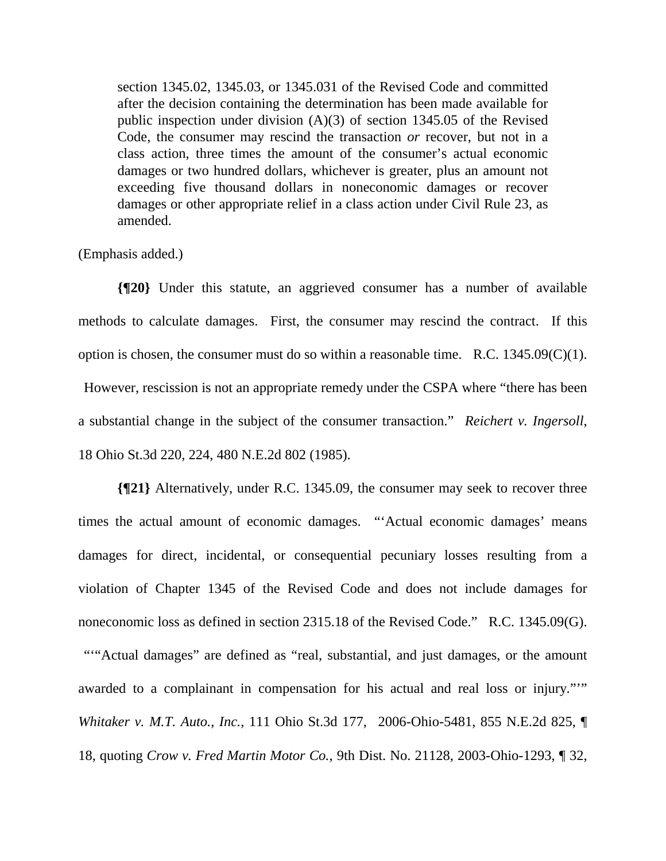section 1345.02, 1345.03, or 1345.031 of the Revised Code and committed after the decision containing the determination has been made available for public inspection under division (A)(3) of section 1345.05 of the Revised Code, the consumer may rescind the transaction *or* recover, but not in a class action, three times the amount of the consumer's actual economic damages or two hundred dollars, whichever is greater, plus an amount not exceeding five thousand dollars in noneconomic damages or recover damages or other appropriate relief in a class action under Civil Rule 23, as amended.

## (Emphasis added.)

**{¶20}** Under this statute, an aggrieved consumer has a number of available methods to calculate damages. First, the consumer may rescind the contract. If this option is chosen, the consumer must do so within a reasonable time. R.C. 1345.09(C)(1). However, rescission is not an appropriate remedy under the CSPA where "there has been a substantial change in the subject of the consumer transaction." *Reichert v. Ingersoll*, 18 Ohio St.3d 220, 224, 480 N.E.2d 802 (1985).

**{¶21}** Alternatively, under R.C. 1345.09, the consumer may seek to recover three times the actual amount of economic damages. "'Actual economic damages' means damages for direct, incidental, or consequential pecuniary losses resulting from a violation of Chapter 1345 of the Revised Code and does not include damages for noneconomic loss as defined in section 2315.18 of the Revised Code." R.C. 1345.09(G). """Actual damages" are defined as "real, substantial, and just damages, or the amount awarded to a complainant in compensation for his actual and real loss or injury."'" *Whitaker v. M.T. Auto., Inc.*, 111 Ohio St.3d 177, 2006-Ohio-5481, 855 N.E.2d 825, ¶ 18, quoting *Crow v. Fred Martin Motor Co.*, 9th Dist. No. 21128, 2003-Ohio-1293, ¶ 32,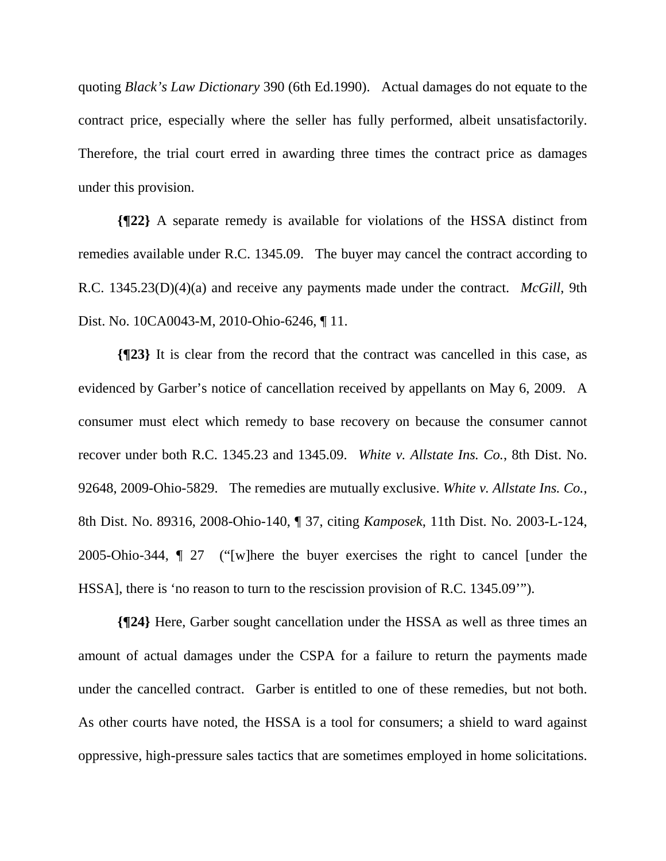quoting *Black's Law Dictionary* 390 (6th Ed.1990). Actual damages do not equate to the contract price, especially where the seller has fully performed, albeit unsatisfactorily. Therefore, the trial court erred in awarding three times the contract price as damages under this provision.

**{¶22}** A separate remedy is available for violations of the HSSA distinct from remedies available under R.C. 1345.09. The buyer may cancel the contract according to R.C. 1345.23(D)(4)(a) and receive any payments made under the contract. *McGill*, 9th Dist. No. 10CA0043-M, 2010-Ohio-6246, ¶ 11.

**{¶23}** It is clear from the record that the contract was cancelled in this case, as evidenced by Garber's notice of cancellation received by appellants on May 6, 2009. A consumer must elect which remedy to base recovery on because the consumer cannot recover under both R.C. 1345.23 and 1345.09. *White v. Allstate Ins. Co.*, 8th Dist. No. 92648, 2009-Ohio-5829. The remedies are mutually exclusive. *White v. Allstate Ins. Co.*, 8th Dist. No. 89316, 2008-Ohio-140, ¶ 37, citing *Kamposek*, 11th Dist. No. 2003-L-124, 2005-Ohio-344, ¶ 27 ("[w]here the buyer exercises the right to cancel [under the HSSA], there is 'no reason to turn to the rescission provision of R.C. 1345.09'").

**{¶24}** Here, Garber sought cancellation under the HSSA as well as three times an amount of actual damages under the CSPA for a failure to return the payments made under the cancelled contract. Garber is entitled to one of these remedies, but not both. As other courts have noted, the HSSA is a tool for consumers; a shield to ward against oppressive, high-pressure sales tactics that are sometimes employed in home solicitations.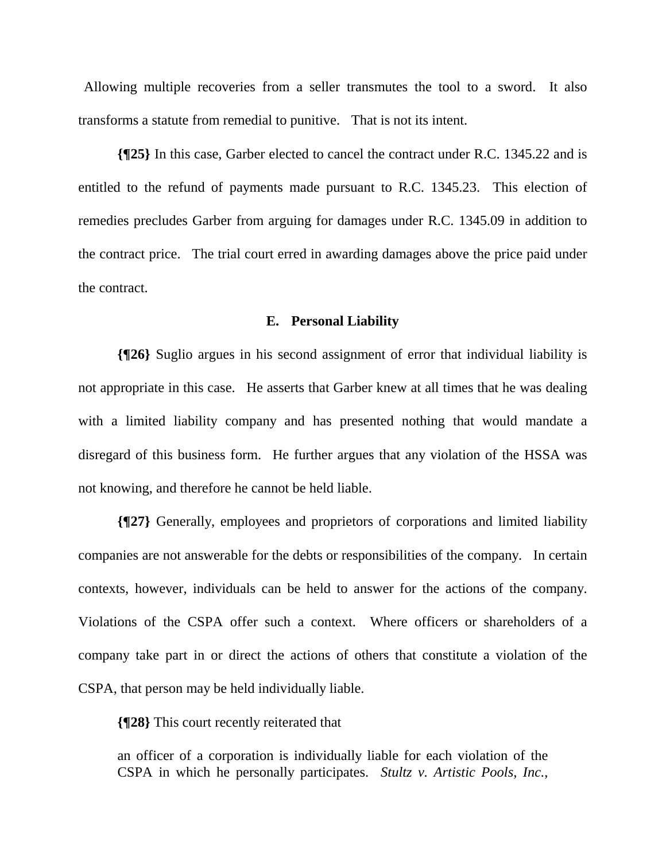Allowing multiple recoveries from a seller transmutes the tool to a sword. It also transforms a statute from remedial to punitive. That is not its intent.

**{¶25}** In this case, Garber elected to cancel the contract under R.C. 1345.22 and is entitled to the refund of payments made pursuant to R.C. 1345.23. This election of remedies precludes Garber from arguing for damages under R.C. 1345.09 in addition to the contract price. The trial court erred in awarding damages above the price paid under the contract.

#### **E. Personal Liability**

**{¶26}** Suglio argues in his second assignment of error that individual liability is not appropriate in this case. He asserts that Garber knew at all times that he was dealing with a limited liability company and has presented nothing that would mandate a disregard of this business form. He further argues that any violation of the HSSA was not knowing, and therefore he cannot be held liable.

**{¶27}** Generally, employees and proprietors of corporations and limited liability companies are not answerable for the debts or responsibilities of the company. In certain contexts, however, individuals can be held to answer for the actions of the company. Violations of the CSPA offer such a context. Where officers or shareholders of a company take part in or direct the actions of others that constitute a violation of the CSPA, that person may be held individually liable.

**{¶28}** This court recently reiterated that

an officer of a corporation is individually liable for each violation of the CSPA in which he personally participates. *Stultz v. Artistic Pools, Inc.*,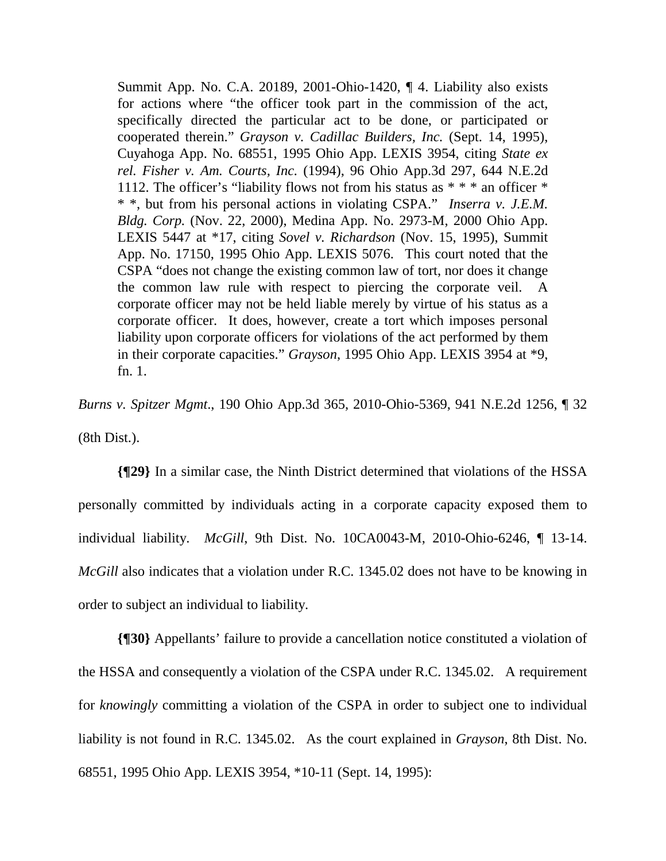Summit App. No. C.A. 20189, 2001-Ohio-1420, ¶ 4. Liability also exists for actions where "the officer took part in the commission of the act, specifically directed the particular act to be done, or participated or cooperated therein." *Grayson v. Cadillac Builders, Inc.* (Sept. 14, 1995), Cuyahoga App. No. 68551, 1995 Ohio App. LEXIS 3954, citing *State ex rel. Fisher v. Am. Courts, Inc.* (1994), 96 Ohio App.3d 297, 644 N.E.2d 1112. The officer's "liability flows not from his status as \* \* \* an officer \* \* \*, but from his personal actions in violating CSPA." *Inserra v. J.E.M. Bldg. Corp.* (Nov. 22, 2000), Medina App. No. 2973-M, 2000 Ohio App. LEXIS 5447 at \*17, citing *Sovel v. Richardson* (Nov. 15, 1995), Summit App. No. 17150, 1995 Ohio App. LEXIS 5076. This court noted that the CSPA "does not change the existing common law of tort, nor does it change the common law rule with respect to piercing the corporate veil. A corporate officer may not be held liable merely by virtue of his status as a corporate officer. It does, however, create a tort which imposes personal liability upon corporate officers for violations of the act performed by them in their corporate capacities." *Grayson*, 1995 Ohio App. LEXIS 3954 at \*9, fn. 1.

*Burns v. Spitzer Mgmt*., 190 Ohio App.3d 365, 2010-Ohio-5369, 941 N.E.2d 1256, ¶ 32 (8th Dist.).

**{¶29}** In a similar case, the Ninth District determined that violations of the HSSA personally committed by individuals acting in a corporate capacity exposed them to individual liability. *McGill*, 9th Dist. No. 10CA0043-M, 2010-Ohio-6246, ¶ 13-14. *McGill* also indicates that a violation under R.C. 1345.02 does not have to be knowing in order to subject an individual to liability.

**{¶30}** Appellants' failure to provide a cancellation notice constituted a violation of the HSSA and consequently a violation of the CSPA under R.C. 1345.02. A requirement for *knowingly* committing a violation of the CSPA in order to subject one to individual liability is not found in R.C. 1345.02. As the court explained in *Grayson*, 8th Dist. No. 68551, 1995 Ohio App. LEXIS 3954, \*10-11 (Sept. 14, 1995):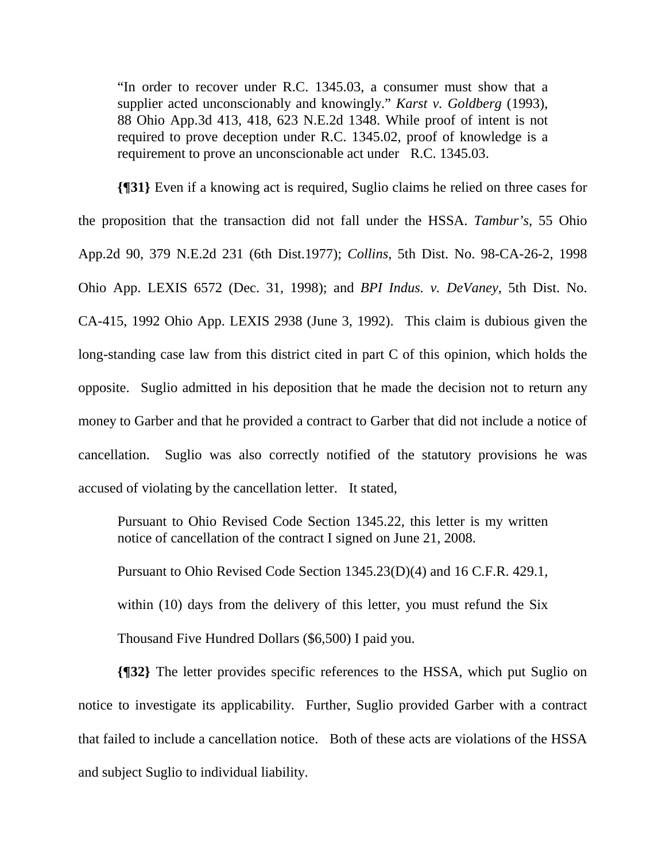"In order to recover under R.C. 1345.03, a consumer must show that a supplier acted unconscionably and knowingly." *Karst v. Goldberg* (1993), 88 Ohio App.3d 413, 418, 623 N.E.2d 1348. While proof of intent is not required to prove deception under R.C. 1345.02, proof of knowledge is a requirement to prove an unconscionable act under R.C. 1345.03.

**{¶31}** Even if a knowing act is required, Suglio claims he relied on three cases for the proposition that the transaction did not fall under the HSSA. *Tambur's*, 55 Ohio App.2d 90, 379 N.E.2d 231 (6th Dist.1977); *Collins*, 5th Dist. No. 98-CA-26-2, 1998 Ohio App. LEXIS 6572 (Dec. 31, 1998); and *BPI Indus. v. DeVaney*, 5th Dist. No. CA-415, 1992 Ohio App. LEXIS 2938 (June 3, 1992). This claim is dubious given the long-standing case law from this district cited in part C of this opinion, which holds the opposite. Suglio admitted in his deposition that he made the decision not to return any money to Garber and that he provided a contract to Garber that did not include a notice of cancellation. Suglio was also correctly notified of the statutory provisions he was accused of violating by the cancellation letter. It stated,

Pursuant to Ohio Revised Code Section 1345.22, this letter is my written notice of cancellation of the contract I signed on June 21, 2008.

Pursuant to Ohio Revised Code Section 1345.23(D)(4) and 16 C.F.R. 429.1, within (10) days from the delivery of this letter, you must refund the Six Thousand Five Hundred Dollars (\$6,500) I paid you.

**{¶32}** The letter provides specific references to the HSSA, which put Suglio on notice to investigate its applicability. Further, Suglio provided Garber with a contract that failed to include a cancellation notice. Both of these acts are violations of the HSSA and subject Suglio to individual liability.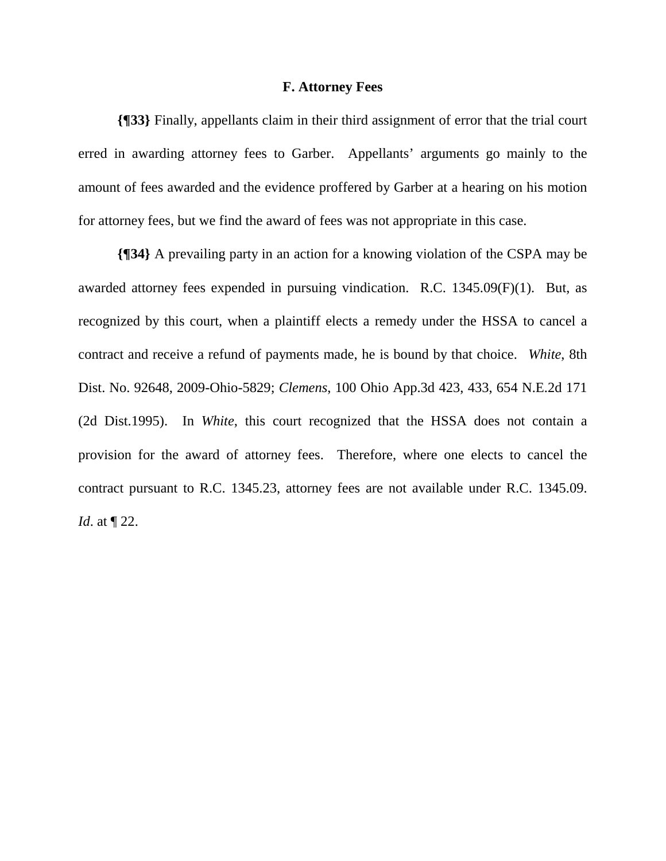#### **F. Attorney Fees**

**{¶33}** Finally, appellants claim in their third assignment of error that the trial court erred in awarding attorney fees to Garber. Appellants' arguments go mainly to the amount of fees awarded and the evidence proffered by Garber at a hearing on his motion for attorney fees, but we find the award of fees was not appropriate in this case.

**{¶34}** A prevailing party in an action for a knowing violation of the CSPA may be awarded attorney fees expended in pursuing vindication. R.C. 1345.09(F)(1). But, as recognized by this court, when a plaintiff elects a remedy under the HSSA to cancel a contract and receive a refund of payments made, he is bound by that choice. *White*, 8th Dist. No. 92648, 2009-Ohio-5829; *Clemens*, 100 Ohio App.3d 423, 433, 654 N.E.2d 171 (2d Dist.1995). In *White*, this court recognized that the HSSA does not contain a provision for the award of attorney fees. Therefore, where one elects to cancel the contract pursuant to R.C. 1345.23, attorney fees are not available under R.C. 1345.09. *Id*. at ¶ 22.